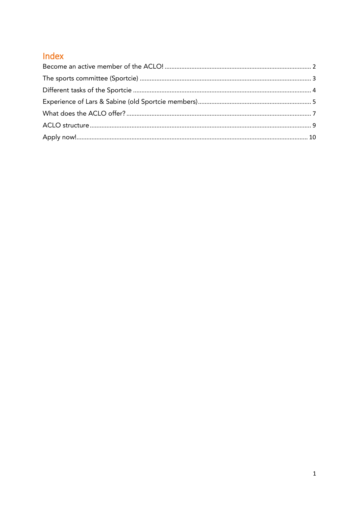## Index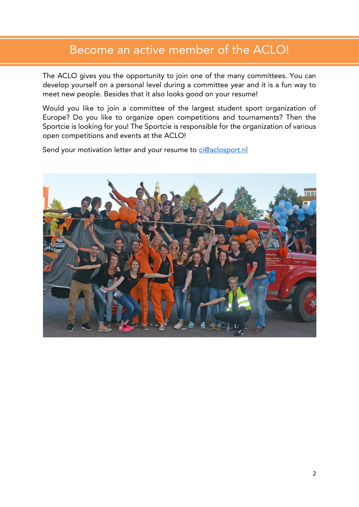## <span id="page-1-0"></span>Become an active member of the ACLO!

The ACLO gives you the opportunity to join one of the many committees. You can develop yourself on a personal level during a committee year and it is a fun way to develop yourself on a personal level of the committee year and it is a function of the state of the model model in way to the model model in way to the model model in way to the model model in way to the model was a fund w meet new people. Besides that it also looks good on your resume!

Would you like to join a committee of the largest student sport organization of Europe? Do you like to organize open competitions and tournaments? Then the Sportcie is looking for you! The Sportcie is responsible for the organization of various  $S_{\text{S}}$  contains and overtext the ACLOL open competitions and events at the ACLO!

Send your motivation letter and your resume to [ci@aclosport.nl](mailto:ci@aclosport.nl)

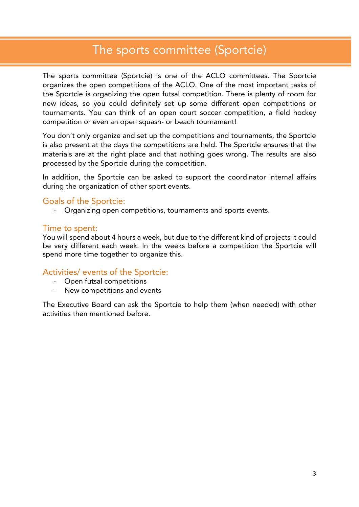## <span id="page-2-0"></span>The sports committee (Sportcie)

The sports committee (Sportcie) is one of the ACLO committees. The Sportcie organizes the open competitions of the ACLO. One of the most important tasks of the Sportcie is organizing the open futsal competition. There is plenty of room for new ideas, so you could definitely set up some different open competitions or tournaments. You can think of an open court soccer competition, a field hockey  $\frac{1}{2}$ competition or even an open squash- or beach tournament.

You don't only organize and set up the competitions and tournaments, the Sportcie is also present at the days the competitions are held. The Sportcie ensures that the materials are at the right place and that nothing goes wrong. The results are also materials are at the right place and the right place and the right place and the results are also results are also results are also results are also results are also results are also results are also results are also resul processed by the Sportcie during the competition.

In addition, the Sportcie can be asked to support the coordinator internal affairs during the organization of other sport events. during the organization of other sport events.

Goals of the Sportcie:<br>- Organizing open competitions, tournaments and sports events. - Organizing open competitions, tournaments and sports events.

Time to spent:<br>You will spend about 4 hours a week, but due to the different kind of projects it could be very different each week. In the weeks before a competition the Sportcie will  $\mathbf{F}$  and more time to achieve to organize this spend more time together to organize this.

# Activities/ events of the Sportcie:

- 
- Now competitions and ow - New competitions and events and events and events and events are a set of the set of the set of the set of the set of the set of the set of the set of the set of the set of the set of the set of the set of the set of the

The Executive Board can ask the Sportcie to help them (when needed) with other activities then mentioned before.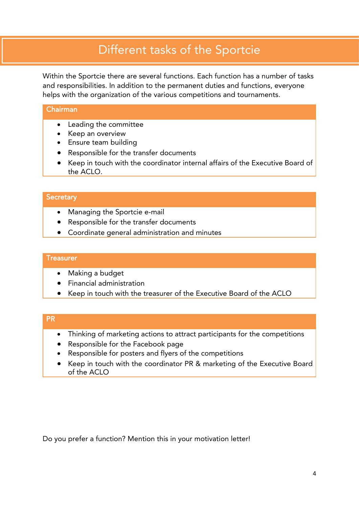## <span id="page-3-0"></span>Different tasks of the Sportcie

Within the Sportcie there are several functions. Each function has a number of tasks and responsibilities. In addition to the permanent duties and functions, everyone  $\frac{1}{2}$  below that  $\frac{1}{2}$  is the permanent duties and functions and functions. helps with the organization of the various competitions and tournaments.

- Leading the committee
- Keep an overview
- Ensure team building
- Responsible for the transfer documents
- Keep in touch with the coordinator internal affairs of the Executive Board of the According to the According to the According to the According to the According to the According to the According to the According to the According to the According to the According to the According to the According to t

### **Secretary**

- Managing the Sportcie e-mail
- Responsible for the transfer documents
- Coordinate general administration and minutes

- Making a budget
- Financial administration
- Keep in touch with the treasurer of the Executive Board of the ACLO

- Thinking of marketing actions to attract participants for the competitions
- Responsible for the Facebook page
- Responsible for posters and flyers of the competitions
- Keep in touch with the coordinator PR & marketing of the Executive Board <u>of the ACLO and</u>

Do you prefer a function? Mention this in your motivation letter!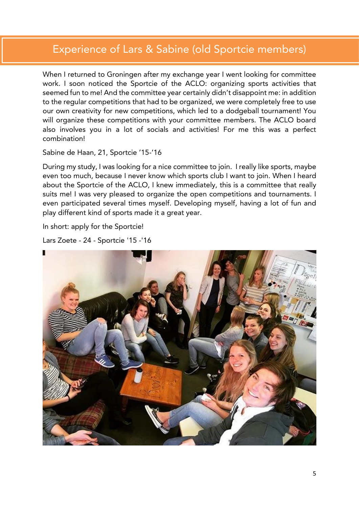## <span id="page-4-0"></span>Experience of Lars & Sabine (old Sportcie members)

When I returned to Groningen after my exchange year I went looking for committee work. I soon noticed the Sportcie of the ACLO: organizing sports activities that seemed fun to me! And the committee year certainly didn't disappoint me: in addition to the regular competitions that had to be organized, we were completely free to use our own creativity for new competitions, which led to a dodgeball tournament! You will organize these competitions with your committee members. The ACLO board  $\frac{1}{2}$  or  $\frac{1}{2}$  or  $\frac{1}{2}$  or  $\frac{1}{2}$  or  $\frac{1}{2}$  organizes the members. The ACLO board board board board board board board board board board board board board board board board board board board board board b  $\sum_{i=1}^n$ combination!

 $S = \frac{1}{2}$ 

During my study, I was looking for a nice committee to join. I really like sports, maybe even too much, because I never know which sports club I want to join. When I heard about the Sportcie of the ACLO, I knew immediately, this is a committee that really suits me! I was very pleased to organize the open competitions and tournaments. I even participated several times myself. Developing myself, having a lot of fun and even participated several times myself. Developing myself, having a lot of fun and play different kind of sports made it a great year.

In short: apply for the Sportcie!

```
Lars Zoete - 24 - Sportcie '15 -'16
```
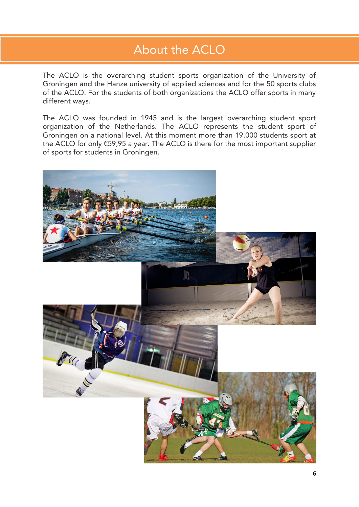## About the ACLO About the ACLO

The ACLO is the overarching student sports organization of the University of Groningen and the Hanze university of applied sciences and for the 50 sports clubs  $\frac{1}{2}$  of the ACLO. For the students of both organizations the ACLO offer sports in many of the ACLO of the students of the students of the students of the ACLO of the ACLO of the ACLO of the ACLO of different ways.

The ACLO was founded in 1945 and is the largest overarching student sport organization of the Netherlands. The ACLO represents the student sport of Groningen on a national level. At this moment more than 19.000 students sport at the ACLO for only  $£59,95$  a year. The ACLO is there for the most important supplier the ACLO for the ACLO is the ACLO is the most include the most important suppliers in the most important suppliers in  $\frac{1}{2}$ of sports for students in Groningen.

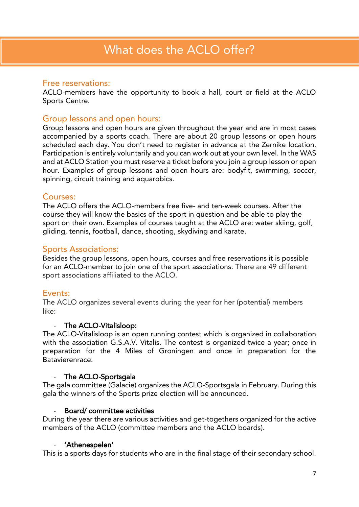## <span id="page-6-0"></span>Free reservations:

ACLO-members have ACLO Members have the opportunity to book a half, court of field at the ACLO.<br>Sports Centre Sports Centre.

Group lessons and open hours:<br>Group lessons and open hours are given throughout the year and are in most cases accompanied by a sports coach. There are about 20 group lessons or open hours scheduled each day. You don't need to register in advance at the Zernike location. Participation is entirely voluntarily and you can work out at your own level. In the WAS and at ACLO Station you must reserve a ticket before you join a group lesson or open. hour. Examples of group lessons and open hours are: bodyfit, swimming, soccer, hour. Examples of group lessons and open hours are: bodyfit, summing, soccer,  $s_p$  is circuit training and and aquarobic training and and aquarobic set of  $\mathcal{L}$ 

## Courses:

The ACLO offers the ACLO-members free five- and ten-week courses. After the course they will know the basics of the sport in question and be able to play the sport on their own. Examples of courses taught at the ACLO are: water skiing, golf, sport on the Courses of Courses of Courses the Acceptures of Courses the ACLO and the ACLO are: water section of  $\frac{1}{2}$ ,  $\frac{1}{2}$ ,  $\frac{1}{2}$ ,  $\frac{1}{2}$ ,  $\frac{1}{2}$ ,  $\frac{1}{2}$ ,  $\frac{1}{2}$ ,  $\frac{1}{2}$ ,  $\frac{1}{2}$ ,  $\frac{1}{2}$ , gliding, tennis, football, dance, shooting, skydiving and karate.

Sports Associations:<br>Besides the group lessons, open hours, courses and free reservations it is possible for an ACLO-member to join one of the sport associations. There are 49 different sport associations affiliated to the ACLO. sport associations affiliated to the ACLO.

Events:<br>The ACLO organizes several events during the year for her (potential) members  $\frac{1}{2}$ like:

- The ACLO-Vitalisloop:<br>The ACLO-Vitalisloop is an open running contest which is organized in collaboration with the association G.S.A.V. Vitalis. The contest is organized twice a year; once in preparation for the 4 Miles of Groningen and once in preparation for the Batavierenrace. Batavierenrace.

- The ACLO-Sportsgala<br>The gala committee (Galacie) organizes the ACLO-Sportsgala in February. During this gala the winners of the Sports prize election will be announced. gala the winners of the Sports prize election will be announced.

## Board/committee activities

During the year there are various activities and get-togethers organized for the active members of the ACLO (committee members and the ACLO boards). members of the ACLO (committee members and the ACLO boards).

- 'Athenesperen'<br>e is a snorts davs fr This is a sports days for students who are in the final stage of their secondary school.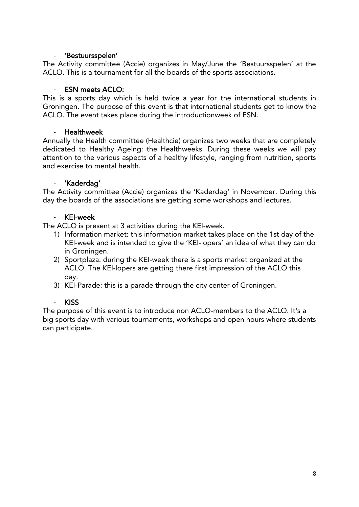## $\omega_{\rm{max}}$

- 'Bestuursspelen'<br>The Activity committee (Accie) organizes in May/June the 'Bestuursspelen' at the ACLO. This is a tournament for all the boards of the sports associations. ACLO. This is a tournament for all the boards of the sports associations.

### - ESN meets ACLO:

This is a sports day which is held twice a year for the international students in Groningen. The purpose of this event is that international students get to know the Groungen. The purpose of this event is that international students get to them the<br>ACLO. The event takes place during the introductionweek of FSN. ACLO. The event takes place during the introductionweek of ESN.

### $\mathbf{r}$

- Healthweek<br>Annually the Health committee (Healthcie) organizes two weeks that are completely dedicated to Healthy Ageing: the Healthweeks. During these weeks we will pay attention to the various aspects of a healthy lifestyle, ranging from nutrition, sports and exercise to mental health. and exercise to mental health.

### $\Delta \sim 10$

- 'Kaderdag'<br>The Activity committee (Accie) organizes the 'Kaderdag' in November. During this The Activity committee (Acciencia) organizations and the boards of the associations are option some workshops and lectures day the boards of the associations are getting some workshops and lectures.

### **KEI-week**

The ACLO is present at 3 activities during the KEI-week.

- 1) Information market: this information market takes place on the 1st day of the KEI-week and is intended to give the 'KEI-lopers' an idea of what they can do in Groningen.
- 2) Sportplaza: during the KEI-week there is a sports market organized at the  $2$ ) sportplaza: during the KEI-kinesis matrix at the KEI-longs are netting there first impression of the ACLO this ACLO. The KEI-lopers are getting there first impression of the ACLO this
- day.<br>3) KEI-Parade: this is a parade through the city center of Groningen.  $\frac{3}{2}$

### **KISS**  $\mathcal{L}^{\mathcal{L}}$

The purpose of this event is to introduce non ACLO-members to the ACLO. It's a<br>big sports day with various tournaments, workshops and open hours where studer big sports day with various tournaments, workshops and open hours where students can participate.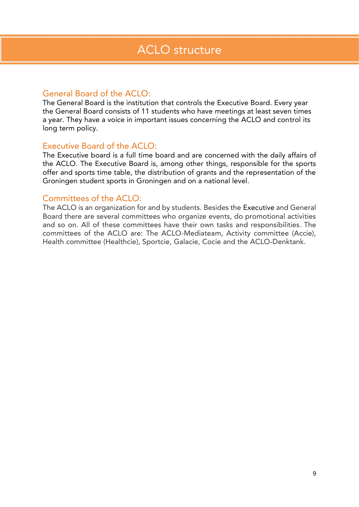<span id="page-8-0"></span>General Board of the ACLO:<br>The General Board is the institution that controls the Executive Board. Every year the General Board consists of 11 students who have meetings at least seven times  $\frac{1}{2}$  sectional Board consists of 11 statements who have meetings at least seven times a year. They have a voice in intervent is the ACLO and control its unit is the ACLO and control its control its long term policy.

Executive Board of the ACLO:<br>The Executive board is a full time board and are concerned with the daily affairs of the ACLO. The Executive Board is, among other things, responsible for the sports offer and sports time table, the distribution of grants and the representation of the of the distribution of the distribution of the distribution of the distribution of the representation of the representation of the representation of the representation of the representation of the representation of the rep Groningen student sports in Groningen and on a national level.

Committees of the ACLO:<br>The ACLO is an organization for and by students. Besides the Executive and General Board there are several committees who organize events, do promotional activities and so on. All of these committees have their own tasks and responsibilities. The committees of the ACLO are: The ACLO-Mediateam, Activity committee (Accie), committee (Healthrie), Sportrie, Galacie, Corie and the ACLO-Denktank Health committee (Healthcie), Sportcie, Galacie, Cocie and the ACLO-Denktank.